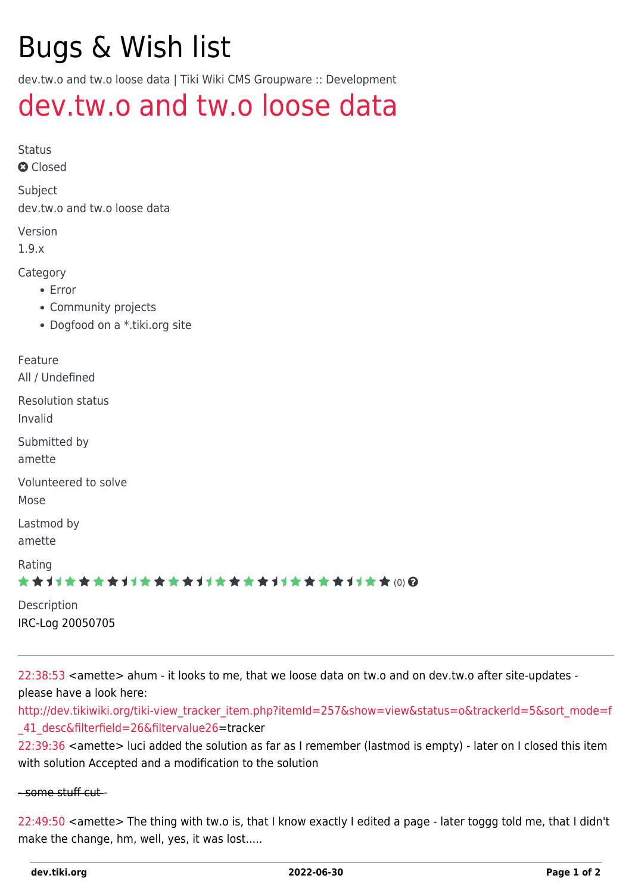# Bugs & Wish list

dev.tw.o and tw.o loose data | Tiki Wiki CMS Groupware :: Development

## [dev.tw.o and tw.o loose data](https://dev.tiki.org/item296-dev-tw-o-and-tw-o-loose-data)

Status

**a** Closed

Subject dev.tw.o and tw.o loose data

Version

1.9.x

Category

- Error
- Community projects
- Dogfood on a \*.tiki.org site

| Feature<br>All / Undefined                 |
|--------------------------------------------|
| <b>Resolution status</b><br>Invalid        |
| Submitted by<br>amette                     |
| Volunteered to solve<br>Mose               |
| Lastmod by<br>amette                       |
| Rating<br>★★オオ★★★★オオ★★★★オオ★★★★オオ★★★★オオ★★∞Q |
| Description<br>IRC-Log 20050705            |

[22:38:53](#page--1-0) <amette> ahum - it looks to me, that we loose data on tw.o and on dev.tw.o after site-updates please have a look here:

[http://dev.tikiwiki.org/tiki-view\\_tracker\\_item.php?itemId=257&show=view&status=o&trackerId=5&sort\\_mode=f](http://dev.tikiwiki.org/tiki-view_tracker_item.php?itemId=257&show=view&status=o&trackerId=5&sort_mode=f_41_desc&filterfield=26&filtervalue) [\\_41\\_desc&filterfield=26&filtervalue](http://dev.tikiwiki.org/tiki-view_tracker_item.php?itemId=257&show=view&status=o&trackerId=5&sort_mode=f_41_desc&filterfield=26&filtervalue)[26=](https://dev.tiki.org/26)tracker

[22:39:36](#page--1-0) <amette> luci added the solution as far as I remember (lastmod is empty) - later on I closed this item with solution Accepted and a modification to the solution

#### - some stuff cut -

[22:49:50](#page--1-0) <amette> The thing with tw.o is, that I know exactly I edited a page - later toggg told me, that I didn't make the change, hm, well, yes, it was lost.....